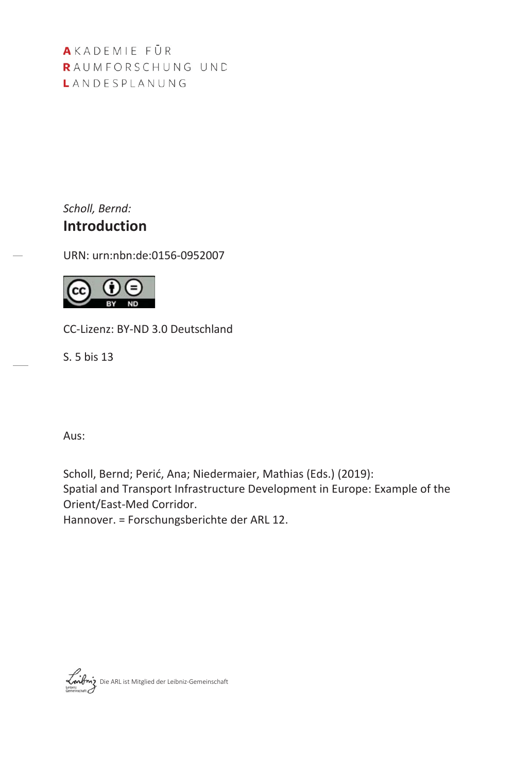AKADEMIE FÜR RAUMFORSCHUNG UND LANDESPLANUNG

Scholl, Bernd: **Introduction** 

URN: urn:nbn:de:0156-0952007



CC-Lizenz: BY-ND 3.0 Deutschland

 $S.5$  bis 13

Aus:

Scholl, Bernd; Perić, Ana; Niedermaier, Mathias (Eds.) (2019): Spatial and Transport Infrastructure Development in Europe: Example of the Orient/East-Med Corridor.

Hannover. = Forschungsberichte der ARL 12.

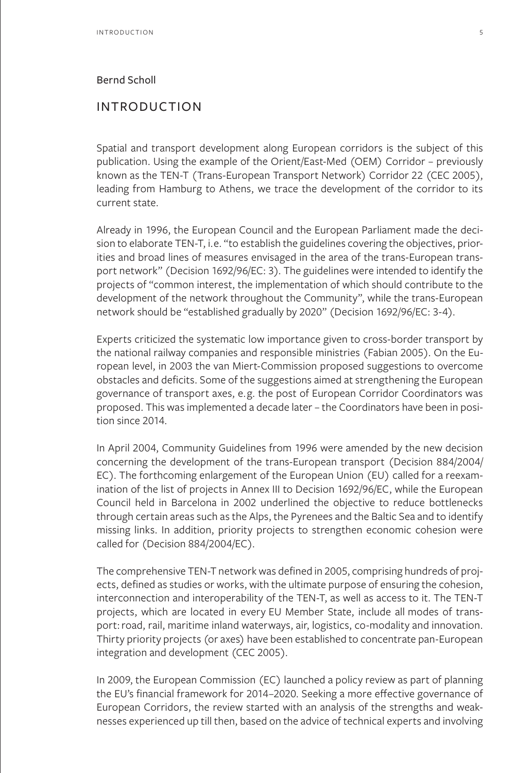## Bernd Scholl

## INTRODUCTION

Spatial and transport development along European corridors is the subject of this publication. Using the example of the Orient/East-Med (OEM) Corridor – previously known as the TEN-T (Trans-European Transport Network) Corridor 22 (CEC 2005), leading from Hamburg to Athens, we trace the development of the corridor to its current state.

Already in 1996, the European Council and the European Parliament made the decision to elaborate TEN-T, i.e. "to establish the guidelines covering the objectives, priorities and broad lines of measures envisaged in the area of the trans-European transport network" (Decision 1692/96/EC: 3). The guidelines were intended to identify the projects of "common interest, the implementation of which should contribute to the development of the network throughout the Community", while the trans-European network should be "established gradually by 2020" (Decision 1692/96/EC: 3-4).

Experts criticized the systematic low importance given to cross-border transport by the national railway companies and responsible ministries (Fabian 2005). On the European level, in 2003 the van Miert-Commission proposed suggestions to overcome obstacles and deficits. Some of the suggestions aimed at strengthening the European governance of transport axes, e.g. the post of European Corridor Coordinators was proposed. This was implemented a decade later – the Coordinators have been in position since 2014.

In April 2004, Community Guidelines from 1996 were amended by the new decision concerning the development of the trans-European transport (Decision 884/2004/ EC). The forthcoming enlargement of the European Union (EU) called for a reexamination of the list of projects in Annex III to Decision 1692/96/EC, while the European Council held in Barcelona in 2002 underlined the objective to reduce bottlenecks through certain areas such as the Alps, the Pyrenees and the Baltic Sea and to identify missing links. In addition, priority projects to strengthen economic cohesion were called for (Decision 884/2004/EC).

The comprehensive TEN-T network was defined in 2005, comprising hundreds of projects, defined as studies or works, with the ultimate purpose of ensuring the cohesion, interconnection and interoperability of the TEN-T, as well as access to it. The TEN-T projects, which are located in every EU Member State, include all modes of transport: road, rail, maritime inland waterways, air, logistics, co-modality and innovation. Thirty priority projects (or axes) have been established to concentrate pan-European integration and development (CEC 2005).

In 2009, the European Commission (EC) launched a policy review as part of planning the EU's financial framework for 2014–2020. Seeking a more effective governance of European Corridors, the review started with an analysis of the strengths and weaknesses experienced up till then, based on the advice of technical experts and involving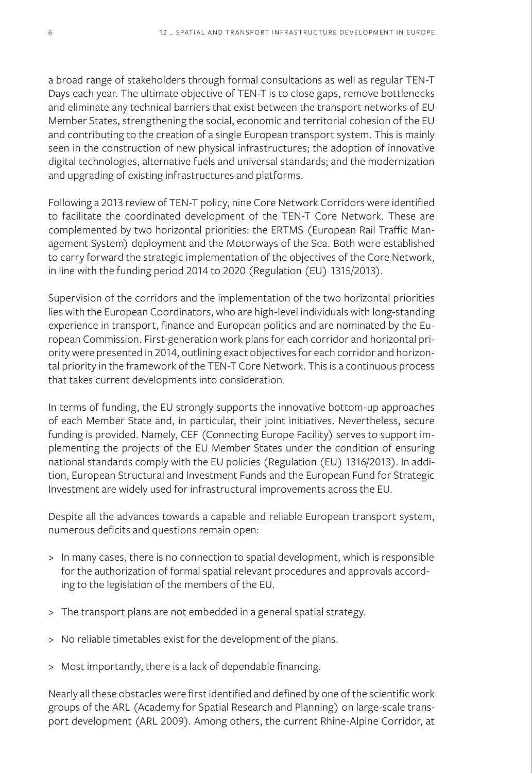a broad range of stakeholders through formal consultations as well as regular TEN-T Days each year. The ultimate objective of TEN-T is to close gaps, remove bottlenecks and eliminate any technical barriers that exist between the transport networks of EU Member States, strengthening the social, economic and territorial cohesion of the EU and contributing to the creation of a single European transport system. This is mainly seen in the construction of new physical infrastructures; the adoption of innovative digital technologies, alternative fuels and universal standards; and the modernization and upgrading of existing infrastructures and platforms.

Following a 2013 review of TEN-T policy, nine Core Network Corridors were identified to facilitate the coordinated development of the TEN-T Core Network. These are complemented by two horizontal priorities: the ERTMS (European Rail Traffic Management System) deployment and the Motorways of the Sea. Both were established to carry forward the strategic implementation of the objectives of the Core Network, in line with the funding period 2014 to 2020 (Regulation (EU) 1315/2013).

Supervision of the corridors and the implementation of the two horizontal priorities lies with the European Coordinators, who are high-level individuals with long-standing experience in transport, finance and European politics and are nominated by the European Commission. First-generation work plans for each corridor and horizontal priority were presented in 2014, outlining exact objectives for each corridor and horizontal priority in the framework of the TEN-T Core Network. This is a continuous process that takes current developments into consideration.

In terms of funding, the EU strongly supports the innovative bottom-up approaches of each Member State and, in particular, their joint initiatives. Nevertheless, secure funding is provided. Namely, CEF (Connecting Europe Facility) serves to support implementing the projects of the EU Member States under the condition of ensuring national standards comply with the EU policies (Regulation (EU) 1316/2013). In addition, European Structural and Investment Funds and the European Fund for Strategic Investment are widely used for infrastructural improvements across the EU.

Despite all the advances towards a capable and reliable European transport system, numerous deficits and questions remain open:

- > In many cases, there is no connection to spatial development, which is responsible for the authorization of formal spatial relevant procedures and approvals according to the legislation of the members of the EU.
- > The transport plans are not embedded in a general spatial strategy.
- > No reliable timetables exist for the development of the plans.
- > Most importantly, there is a lack of dependable financing.

Nearly all these obstacles were first identified and defined by one of the scientific work groups of the ARL (Academy for Spatial Research and Planning) on large-scale transport development (ARL 2009). Among others, the current Rhine-Alpine Corridor, at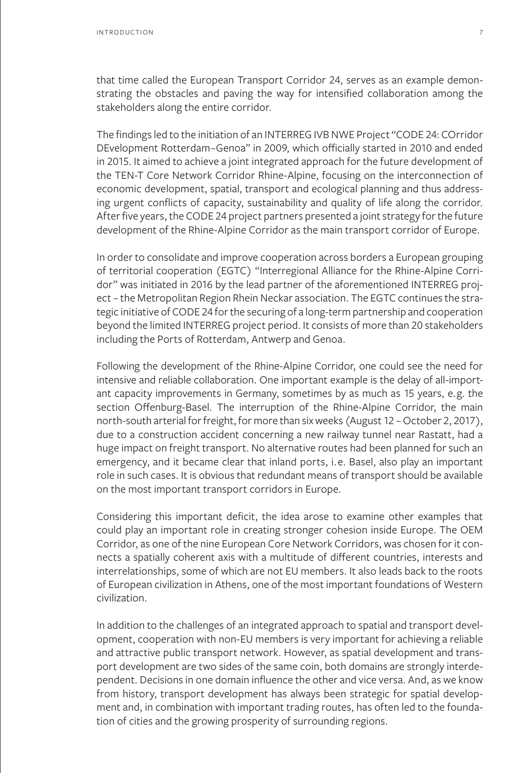that time called the European Transport Corridor 24, serves as an example demonstrating the obstacles and paving the way for intensified collaboration among the stakeholders along the entire corridor.

The findings led to the initiation of an INTERREG IVB NWE Project "CODE 24: COrridor DEvelopment Rotterdam–Genoa" in 2009, which officially started in 2010 and ended in 2015. It aimed to achieve a joint integrated approach for the future development of the TEN-T Core Network Corridor Rhine-Alpine, focusing on the interconnection of economic development, spatial, transport and ecological planning and thus addressing urgent conflicts of capacity, sustainability and quality of life along the corridor. After five years, the CODE 24 project partners presented a joint strategy for the future development of the Rhine-Alpine Corridor as the main transport corridor of Europe.

In order to consolidate and improve cooperation across borders a European grouping of territorial cooperation (EGTC) "Interregional Alliance for the Rhine-Alpine Corridor" was initiated in 2016 by the lead partner of the aforementioned INTERREG project – the Metropolitan Region Rhein Neckar association. The EGTC continues the strategic initiative of CODE 24 for the securing of a long-term partnership and cooperation beyond the limited INTERREG project period. It consists of more than 20 stakeholders including the Ports of Rotterdam, Antwerp and Genoa.

Following the development of the Rhine-Alpine Corridor, one could see the need for intensive and reliable collaboration. One important example is the delay of all-important capacity improvements in Germany, sometimes by as much as 15 years, e.g. the section Offenburg-Basel. The interruption of the Rhine-Alpine Corridor, the main north-south arterial for freight, for more than six weeks (August 12 – October 2, 2017), due to a construction accident concerning a new railway tunnel near Rastatt, had a huge impact on freight transport. No alternative routes had been planned for such an emergency, and it became clear that inland ports, i.e. Basel, also play an important role in such cases. It is obvious that redundant means of transport should be available on the most important transport corridors in Europe.

Considering this important deficit, the idea arose to examine other examples that could play an important role in creating stronger cohesion inside Europe. The OEM Corridor, as one of the nine European Core Network Corridors, was chosen for it connects a spatially coherent axis with a multitude of different countries, interests and interrelationships, some of which are not EU members. It also leads back to the roots of European civilization in Athens, one of the most important foundations of Western civilization.

In addition to the challenges of an integrated approach to spatial and transport development, cooperation with non-EU members is very important for achieving a reliable and attractive public transport network. However, as spatial development and transport development are two sides of the same coin, both domains are strongly interdependent. Decisions in one domain influence the other and vice versa. And, as we know from history, transport development has always been strategic for spatial development and, in combination with important trading routes, has often led to the foundation of cities and the growing prosperity of surrounding regions.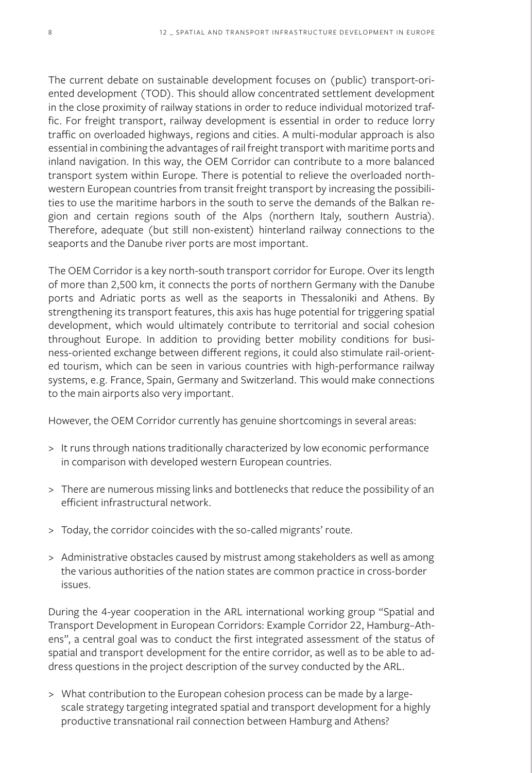The current debate on sustainable development focuses on (public) transport-oriented development (TOD). This should allow concentrated settlement development in the close proximity of railway stations in order to reduce individual motorized traffic. For freight transport, railway development is essential in order to reduce lorry traffic on overloaded highways, regions and cities. A multi-modular approach is also essential in combining the advantages of rail freight transport with maritime ports and inland navigation. In this way, the OEM Corridor can contribute to a more balanced transport system within Europe. There is potential to relieve the overloaded northwestern European countries from transit freight transport by increasing the possibilities to use the maritime harbors in the south to serve the demands of the Balkan region and certain regions south of the Alps (northern Italy, southern Austria). Therefore, adequate (but still non-existent) hinterland railway connections to the seaports and the Danube river ports are most important.

The OEM Corridor is a key north-south transport corridor for Europe. Over its length of more than 2,500 km, it connects the ports of northern Germany with the Danube ports and Adriatic ports as well as the seaports in Thessaloniki and Athens. By strengthening its transport features, this axis has huge potential for triggering spatial development, which would ultimately contribute to territorial and social cohesion throughout Europe. In addition to providing better mobility conditions for business-oriented exchange between different regions, it could also stimulate rail-oriented tourism, which can be seen in various countries with high-performance railway systems, e.g. France, Spain, Germany and Switzerland. This would make connections to the main airports also very important.

However, the OEM Corridor currently has genuine shortcomings in several areas:

- > It runs through nations traditionally characterized by low economic performance in comparison with developed western European countries.
- > There are numerous missing links and bottlenecks that reduce the possibility of an efficient infrastructural network.
- > Today, the corridor coincides with the so-called migrants' route.
- > Administrative obstacles caused by mistrust among stakeholders as well as among the various authorities of the nation states are common practice in cross-border issues.

During the 4-year cooperation in the ARL international working group "Spatial and Transport Development in European Corridors: Example Corridor 22, Hamburg–Athens", a central goal was to conduct the first integrated assessment of the status of spatial and transport development for the entire corridor, as well as to be able to address questions in the project description of the survey conducted by the ARL.

> What contribution to the European cohesion process can be made by a largescale strategy targeting integrated spatial and transport development for a highly productive transnational rail connection between Hamburg and Athens?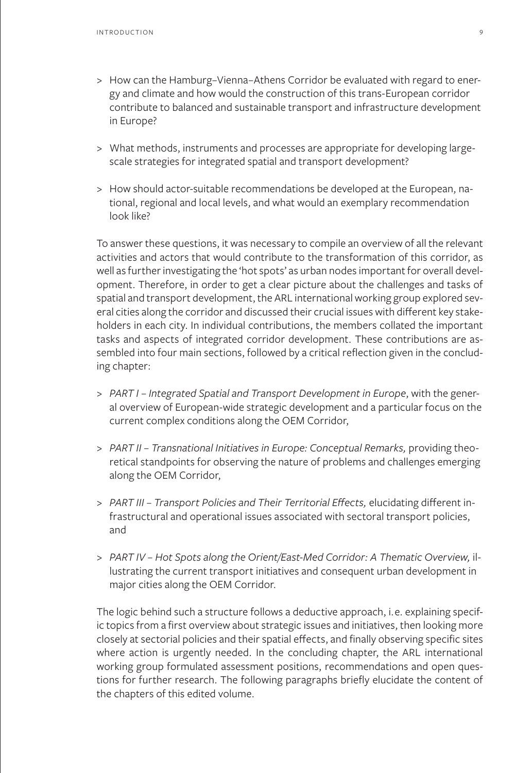- > How can the Hamburg–Vienna–Athens Corridor be evaluated with regard to energy and climate and how would the construction of this trans-European corridor contribute to balanced and sustainable transport and infrastructure development in Europe?
- > What methods, instruments and processes are appropriate for developing largescale strategies for integrated spatial and transport development?
- > How should actor-suitable recommendations be developed at the European, national, regional and local levels, and what would an exemplary recommendation look like?

To answer these questions, it was necessary to compile an overview of all the relevant activities and actors that would contribute to the transformation of this corridor, as well as further investigating the 'hot spots' as urban nodes important for overall development. Therefore, in order to get a clear picture about the challenges and tasks of spatial and transport development, the ARL international working group explored several cities along the corridor and discussed their crucial issues with different key stakeholders in each city. In individual contributions, the members collated the important tasks and aspects of integrated corridor development. These contributions are assembled into four main sections, followed by a critical reflection given in the concluding chapter:

- > *PART I Integrated Spatial and Transport Development in Europe*, with the general overview of European-wide strategic development and a particular focus on the current complex conditions along the OEM Corridor,
- > PART II Transnational Initiatives in Europe: Conceptual Remarks, providing theoretical standpoints for observing the nature of problems and challenges emerging along the OEM Corridor,
- > *PART III Transport Policies and Their Territorial Effects,* elucidating different infrastructural and operational issues associated with sectoral transport policies, and
- > *PART IV Hot Spots along the Orient/East-Med Corridor: A Thematic Overview,* illustrating the current transport initiatives and consequent urban development in major cities along the OEM Corridor.

The logic behind such a structure follows a deductive approach, i.e. explaining specific topics from a first overview about strategic issues and initiatives, then looking more closely at sectorial policies and their spatial effects, and finally observing specific sites where action is urgently needed. In the concluding chapter, the ARL international working group formulated assessment positions, recommendations and open questions for further research. The following paragraphs briefly elucidate the content of the chapters of this edited volume.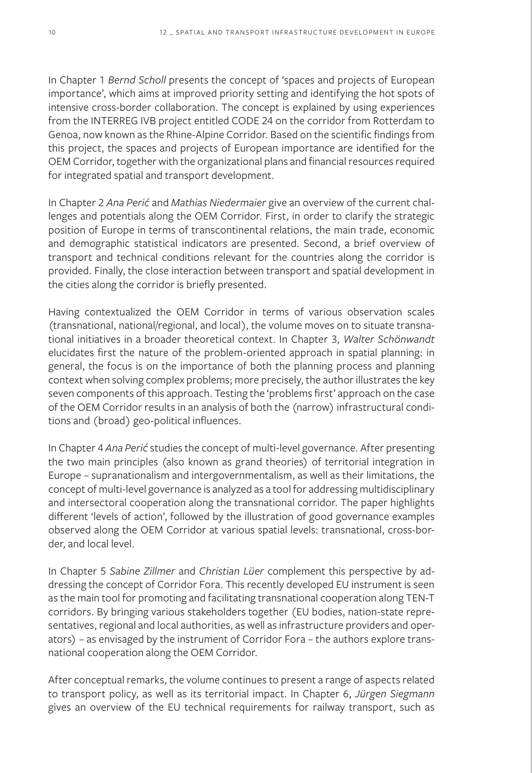In Chapter 1 *Bernd Scholl* presents the concept of 'spaces and projects of European importance', which aims at improved priority setting and identifying the hot spots of intensive cross-border collaboration. The concept is explained by using experiences from the INTERREG IVB project entitled CODE 24 on the corridor from Rotterdam to Genoa, now known as the Rhine-Alpine Corridor. Based on the scientific findings from this project, the spaces and projects of European importance are identified for the OEM Corridor, together with the organizational plans and financial resources required for integrated spatial and transport development.

In Chapter 2 *Ana Perić* and *Mathias Niedermaier* give an overview of the current challenges and potentials along the OEM Corridor. First, in order to clarify the strategic position of Europe in terms of transcontinental relations, the main trade, economic and demographic statistical indicators are presented. Second, a brief overview of transport and technical conditions relevant for the countries along the corridor is provided. Finally, the close interaction between transport and spatial development in the cities along the corridor is briefly presented.

Having contextualized the OEM Corridor in terms of various observation scales (transnational, national/regional, and local), the volume moves on to situate transnational initiatives in a broader theoretical context. In Chapter 3, *Walter Schönwandt* elucidates first the nature of the problem-oriented approach in spatial planning: in general, the focus is on the importance of both the planning process and planning context when solving complex problems; more precisely, the author illustrates the key seven components of this approach. Testing the 'problems first' approach on the case of the OEM Corridor results in an analysis of both the (narrow) infrastructural conditions and (broad) geo-political influences.

In Chapter 4 *Ana Perić* studies the concept of multi-level governance. After presenting the two main principles (also known as grand theories) of territorial integration in Europe – supranationalism and intergovernmentalism, as well as their limitations, the concept of multi-level governance is analyzed as a tool for addressing multidisciplinary and intersectoral cooperation along the transnational corridor. The paper highlights different 'levels of action', followed by the illustration of good governance examples observed along the OEM Corridor at various spatial levels: transnational, cross-border, and local level.

In Chapter 5 *Sabine Zillmer* and *Christian Lüer* complement this perspective by addressing the concept of Corridor Fora. This recently developed EU instrument is seen as the main tool for promoting and facilitating transnational cooperation along TEN-T corridors. By bringing various stakeholders together (EU bodies, nation-state representatives, regional and local authorities, as well as infrastructure providers and operators) – as envisaged by the instrument of Corridor Fora – the authors explore transnational cooperation along the OEM Corridor.

After conceptual remarks, the volume continues to present a range of aspects related to transport policy, as well as its territorial impact. In Chapter 6, *Jürgen Siegmann* gives an overview of the EU technical requirements for railway transport, such as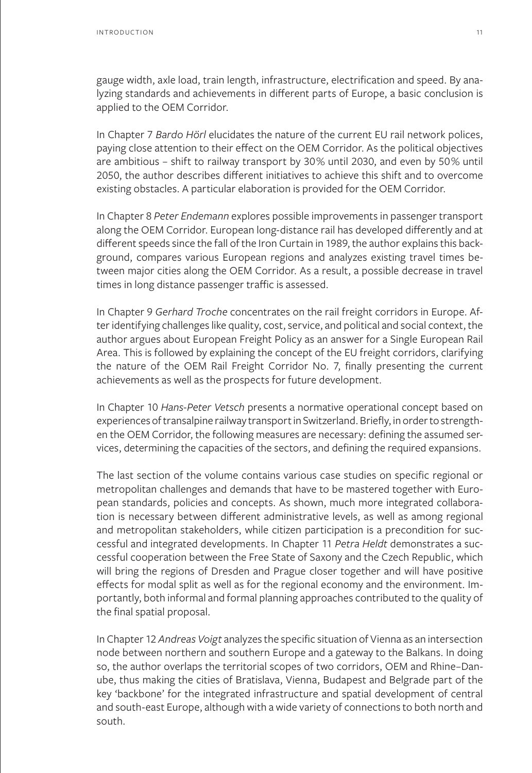gauge width, axle load, train length, infrastructure, electrification and speed. By analyzing standards and achievements in different parts of Europe, a basic conclusion is applied to the OEM Corridor.

In Chapter 7 *Bardo Hörl* elucidates the nature of the current EU rail network polices, paying close attention to their effect on the OEM Corridor. As the political objectives are ambitious – shift to railway transport by 30% until 2030, and even by 50% until 2050, the author describes different initiatives to achieve this shift and to overcome existing obstacles. A particular elaboration is provided for the OEM Corridor.

In Chapter 8 *Peter Endemann* explores possible improvements in passenger transport along the OEM Corridor. European long-distance rail has developed differently and at different speeds since the fall of the Iron Curtain in 1989, the author explains this background, compares various European regions and analyzes existing travel times between major cities along the OEM Corridor. As a result, a possible decrease in travel times in long distance passenger traffic is assessed.

In Chapter 9 *Gerhard Troche* concentrates on the rail freight corridors in Europe. After identifying challenges like quality, cost, service, and political and social context, the author argues about European Freight Policy as an answer for a Single European Rail Area. This is followed by explaining the concept of the EU freight corridors, clarifying the nature of the OEM Rail Freight Corridor No. 7, finally presenting the current achievements as well as the prospects for future development.

In Chapter 10 *Hans-Peter Vetsch* presents a normative operational concept based on experiences of transalpine railway transport in Switzerland. Briefly, in order to strengthen the OEM Corridor, the following measures are necessary: defining the assumed services, determining the capacities of the sectors, and defining the required expansions.

The last section of the volume contains various case studies on specific regional or metropolitan challenges and demands that have to be mastered together with European standards, policies and concepts. As shown, much more integrated collaboration is necessary between different administrative levels, as well as among regional and metropolitan stakeholders, while citizen participation is a precondition for successful and integrated developments. In Chapter 11 *Petra Heldt* demonstrates a successful cooperation between the Free State of Saxony and the Czech Republic, which will bring the regions of Dresden and Prague closer together and will have positive effects for modal split as well as for the regional economy and the environment. Importantly, both informal and formal planning approaches contributed to the quality of the final spatial proposal.

In Chapter 12 *Andreas Voigt* analyzes the specific situation of Vienna as an intersection node between northern and southern Europe and a gateway to the Balkans. In doing so, the author overlaps the territorial scopes of two corridors, OEM and Rhine–Danube, thus making the cities of Bratislava, Vienna, Budapest and Belgrade part of the key 'backbone' for the integrated infrastructure and spatial development of central and south-east Europe, although with a wide variety of connections to both north and south.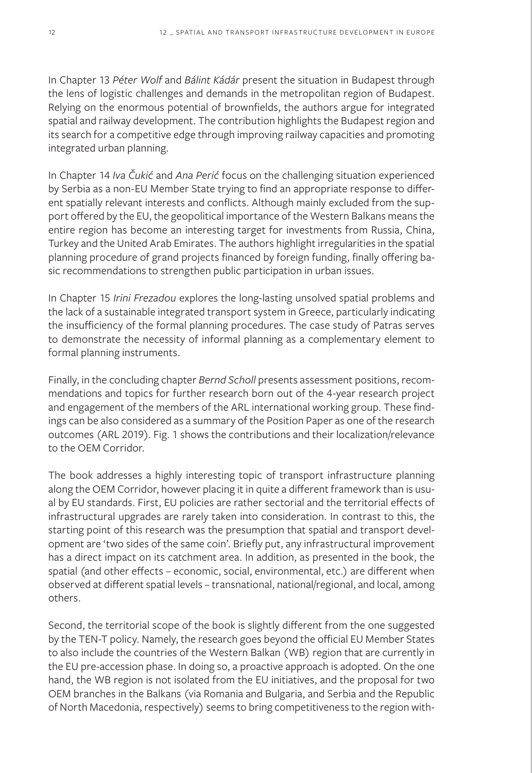In Chapter 13 *Péter Wolf* and *Bálint Kádár* present the situation in Budapest through the lens of logistic challenges and demands in the metropolitan region of Budapest. Relying on the enormous potential of brownfields, the authors argue for integrated spatial and railway development. The contribution highlights the Budapest region and its search for a competitive edge through improving railway capacities and promoting integrated urban planning.

In Chapter 14 *Iva Čukić* and *Ana Perić* focus on the challenging situation experienced by Serbia as a non-EU Member State trying to find an appropriate response to different spatially relevant interests and conflicts. Although mainly excluded from the support offered by the EU, the geopolitical importance of the Western Balkans means the entire region has become an interesting target for investments from Russia, China, Turkey and the United Arab Emirates. The authors highlight irregularities in the spatial planning procedure of grand projects financed by foreign funding, finally offering basic recommendations to strengthen public participation in urban issues.

In Chapter 15 *Irini Frezadou* explores the long-lasting unsolved spatial problems and the lack of a sustainable integrated transport system in Greece, particularly indicating the insufficiency of the formal planning procedures. The case study of Patras serves to demonstrate the necessity of informal planning as a complementary element to formal planning instruments.

Finally, in the concluding chapter *Bernd Scholl* presents assessment positions, recommendations and topics for further research born out of the 4-year research project and engagement of the members of the ARL international working group. These findings can be also considered as a summary of the Position Paper as one of the research outcomes (ARL 2019). Fig. 1 shows the contributions and their localization/relevance to the OEM Corridor.

The book addresses a highly interesting topic of transport infrastructure planning along the OEM Corridor, however placing it in quite a different framework than is usual by EU standards. First, EU policies are rather sectorial and the territorial effects of infrastructural upgrades are rarely taken into consideration. In contrast to this, the starting point of this research was the presumption that spatial and transport development are 'two sides of the same coin'. Briefly put, any infrastructural improvement has a direct impact on its catchment area. In addition, as presented in the book, the spatial (and other effects – economic, social, environmental, etc.) are different when observed at different spatial levels – transnational, national/regional, and local, among others.

Second, the territorial scope of the book is slightly different from the one suggested by the TEN-T policy. Namely, the research goes beyond the official EU Member States to also include the countries of the Western Balkan (WB) region that are currently in the EU pre-accession phase. In doing so, a proactive approach is adopted. On the one hand, the WB region is not isolated from the EU initiatives, and the proposal for two OEM branches in the Balkans (via Romania and Bulgaria, and Serbia and the Republic of North Macedonia, respectively) seems to bring competitiveness to the region with